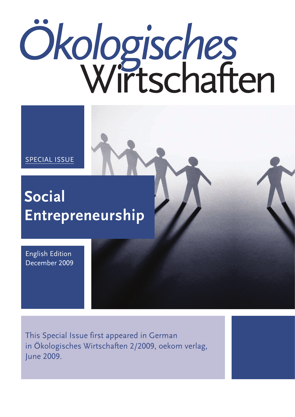# Ökologisches

SPECIAL ISSUE

# **Social Entrepreneurship**

English Edition December 2009

This Special Issue first appeared in German in Ökologisches Wirtschaften 2/2009, oekom verlag, June 2009.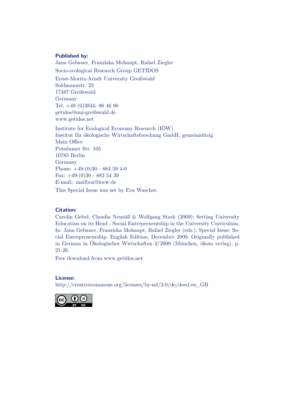### **Published by:**

Jana Gebauer, Franziska Mohaupt, Rafael Ziegler Socio-ecological Research Group GETIDOS Ernst-Moritz-Arndt University Greifswald Soldmannstr. 23

17487 Greifswald Germany Tel. +49 (0)3834- 86 46 90 getidos@uni-greifswald.de www.getidos.net

Institute for Ecological Economy Research (IÖW) Institut für ökologische Wirtschaftsforschung GmbH, gemeinnützig Main Office Potsdamer Str. 105 10785 Berlin Germany Phone: +49-(0)30 - 884 59 4-0 Fax: +49-(0)30 - 882 54 39 E-mail:: mailbox@ioew.de

This Special Issue was set by Eva Wascher.

### **Citation:**

Carolin Gebel, Claudia Neusüß & Wolfgang Stark (2009): Setting University Education on its Head - Social Entrepreneurship in the University Curriculum. In: Jana Gebauer, Franziska Mohaupt, Rafael Ziegler (eds.). Special Issue: Social Entrepreneurship. English Edition, December 2009. Originally published in German in Ökologisches Wirtschaften 2/2009 (München, ökom verlag), p. 21-26.

Free download from www.getidos.net

### **License:**

http://creativecommons.org/licenses/by-nd/3.0/de/deed.en\_GB

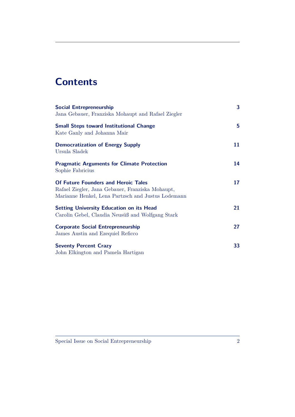## **Contents**

| <b>Social Entrepreneurship</b>                                                                                                                       | 3  |
|------------------------------------------------------------------------------------------------------------------------------------------------------|----|
| Jana Gebauer, Franziska Mohaupt and Rafael Ziegler                                                                                                   |    |
| <b>Small Steps toward Institutional Change</b><br>Kate Ganly and Johanna Mair                                                                        | 5  |
| <b>Democratization of Energy Supply</b><br>Ursula Sladek                                                                                             | 11 |
| <b>Pragmatic Arguments for Climate Protection</b><br>Sophie Fabricius                                                                                | 14 |
| <b>Of Future Founders and Heroic Tales</b><br>Rafael Ziegler, Jana Gebauer, Franziska Mohaupt,<br>Marianne Henkel, Lena Partzsch and Justus Lodemann | 17 |
| <b>Setting University Education on its Head</b><br>Carolin Gebel, Claudia Neusüß and Wolfgang Stark                                                  | 21 |
| <b>Corporate Social Entrepreneurship</b><br>James Austin and Ezequiel Reficco                                                                        | 27 |
| <b>Seventy Percent Crazy</b><br>John Elkington and Pamela Hartigan                                                                                   | 33 |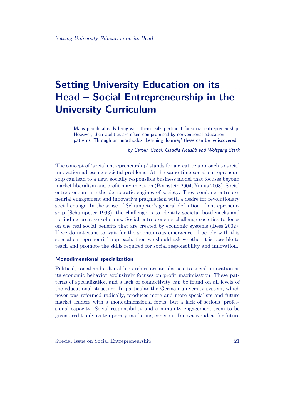# **Setting University Education on its Head – Social Entrepreneurship in the University Curriculum**

Many people already bring with them skills pertinent for social entrepreneurship. However, their abilities are often compromised by conventional education patterns. Through an unorthodox 'Learning Journey' these can be rediscovered.

by Carolin Gebel, Claudia Neusüß and Wolfgang Stark

The concept of 'social entrepreneurship' stands for a creative approach to social innovation adressing societal problems. At the same time social entrepreneurship can lead to a new, socially responsible business model that focuses beyond market liberalism and profit maximization (Bornstein 2004; Yunus 2008). Social entrepreneurs are the democratic engines of society: They combine entrepreneurial engagement and innovative pragmatism with a desire for revolutionary social change. In the sense of Schumpeter's general definition of entrepreneurship (Schumpeter 1993), the challenge is to identify societal bottlenecks and to finding creative solutions. Social entrepreneurs challenge societies to focus on the real social benefits that are created by economic systems (Dees 2002). If we do not want to wait for the spontaneous emergence of people with this special entrepreneurial approach, then we should ask whether it is possible to teach and promote the skills required for social responsibility and innovation.

### **Monodimensional specialization**

Political, social and cultural hierarchies are an obstacle to social innovation as its economic behavior exclusively focuses on profit maximisation. These patterns of specialization and a lack of connectivity can be found on all levels of the educational structure. In particular the German university system, which never was reformed radically, produces more and more specialists and future market leaders with a monodimensional focus, but a lack of serious 'professional capacity'. Social responsibility and community engagement seem to be given credit only as temporary marketing concepts. Innovative ideas for future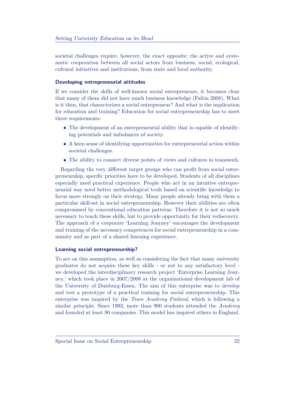societal challenges require, however, the exact opposite: the active and systematic cooperation between all social actors from business, social, ecological, cultural initiatives and institutions, from state and local authority.

### **Developing entrepreneurial attitudes**

If we consider the skills of well-known social entrepreneurs, it becomes clear that many of them did not have much business knowledge (Faltin 2008). What is it then, that characterizes a social entrepreneur? And what is the implication for education and training? Education for social entrepreneurship has to meet three requirements:

- The development of an entrepreneurial ability that is capable of identifying potentials and imbalances of society.
- A keen sense of identifying opportunities for entrepreneurial action within societal challenges.
- The ability to connect diverse points of views and cultures in teamwork.

Regarding the very different target groups who can profit from social entrepreneurship, specific priorities have to be developed. Students of all disciplines especially need practical experience. People who act in an intuitive entrepreneurial way need better methodological tools based on scientific knowledge to focus more strongly on their strategy. Many people already bring with them a particular skill-set in social entrepreneurship. However their abilities are often compromised by conventional education patterns. Therefore it is not so much necessary to teach these skills, but to provide opportunity for their rediscovery. The approach of a corporate 'Learning Journey' encourages the development and training of the necessary competences for social entrepreneurship in a community and as part of a shared learning experience.

### **Learning social entrepreneurship?**

To act on this assumption, as well as considering the fact that many university graduates do not acquire these key skills - or not to any satisfactory level we developed the interdisciplinary research project 'Enterprise Learning Journey,' which took place in 2007/2008 at the organizational development lab of the University of Duisburg-Essen. The aim of this enterprise was to develop and test a prototype of a practical training for social entrepreneurship. This enterprise was inspired by the *Team Academy Finland*, which is following a similar principle. Since 1993, more than 900 students attended the *Academy* and founded at least 90 companies. This model has inspired others in England,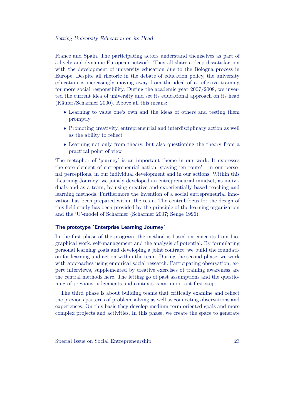France and Spain. The participating actors understand themselves as part of a lively and dynamic European network. They all share a deep dissatisfaction with the development of university education due to the Bologna process in Europe. Despite all rhetoric in the debate of education policy, the university education is increasingly moving away from the ideal of a reflexive training for more social responsibility. During the academic year 2007/2008, we inverted the current idea of university and set its educational approach on its head (Käufer/Scharmer 2000). Above all this means:

- Learning to value one's own and the ideas of others and testing them promptly
- Promoting creativity, entrepreneurial and interdisciplinary action as well as the ability to reflect
- Learning not only from theory, but also questioning the theory from a practical point of view

The metaphor of 'journey' is an important theme in our work. It expresses the core element of entrepreneurial action: staying 'en route' - in our personal perceptions, in our individual development and in our actions. Within this 'Learning Journey' we jointly developed an entrepreneurial mindset, as individuals and as a team, by using creative and experientially based teaching and learning methods. Furthermore the invention of a social entrepreneurial innovation has been prepared within the team. The central focus for the design of this field study has been provided by the principle of the learning organization and the 'U'-model of Scharmer (Scharmer 2007; Senge 1996).

### **The prototype 'Enterprise Learning Journey'**

In the first phase of the program, the method is based on concepts from biographical work, self-management and the analysis of potential. By formulating personal learning goals and developing a joint contract, we build the foundation for learning and action within the team. During the second phase, we work with approaches using empirical social research. Participating observation, expert interviews, supplemented by creative exercises of training awareness are the central methods here. The letting go of past assumptions and the questioning of previous judgements and contexts is an important first step.

The third phase is about building teams that critically examine and reflect the previous patterns of problem solving as well as connecting observations and experiences. On this basis they develop medium term-oriented goals and more complex projects and activities. In this phase, we create the space to generate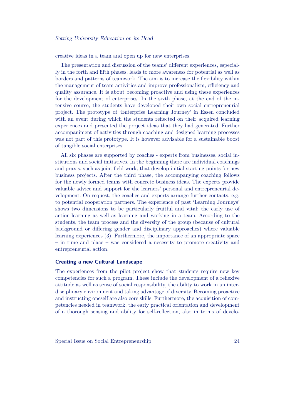creative ideas in a team and open up for new enterprises.

The presentation and discussion of the teams' different experiences, especially in the forth and fifth phases, leads to more awareness for potential as well as borders and patterns of teamwork. The aim is to increase the flexibility within the management of team activities and improve professionalism, efficiency and quality assurance. It is about becoming proactive and using these experiences for the development of enterprises. In the sixth phase, at the end of the intensive course, the students have developed their own social entrepreneurial project. The prototype of 'Enterprise Learning Journey' in Essen concluded with an event during which the students reflected on their acquired learning experiences and presented the project ideas that they had generated. Further accompaniment of activities through coaching and designed learning processes was not part of this prototype. It is however advisable for a sustainable boost of tangible social enterprises.

All six phases are supported by coaches - experts from businesses, social institutions and social initiatives. In the beginning there are individual coachings and praxis, such as joint field work, that develop initial starting-points for new business projects. After the third phase, the accompanying coaching follows for the newly formed teams with concrete business ideas. The experts provide valuable advice and support for the learners' personal and entrepreneurial development. On request, the coaches and experts arrange further contacts, e.g. to potential cooperation partners. The experience of past 'Learning Journeys' shows two dimensions to be particularly fruitful and vital: the early use of action-learning as well as learning and working in a team. According to the students, the team process and the diversity of the group (because of cultural background or differing gender and disciplinary approaches) where valuable learning experiences (3). Furthermore, the importance of an appropriate space – in time and place – was considered a necessity to promote creativity and entrepreneurial action.

### **Creating a new Cultural Landscape**

The experiences from the pilot project show that students require new key competencies for such a program. These include the development of a reflexive attitude as well as sense of social responsibility, the ability to work in an interdisciplinary environment and taking advantage of diversity. Becoming proactive and instructing oneself are also core skills. Furthermore, the acquisition of competencies needed in teamwork, the early practical orientation and development of a thorough sensing and ability for self-reflection, also in terms of develo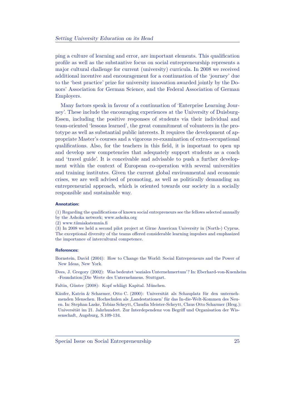ping a culture of learning and error, are important elements. This qualification profile as well as the substantive focus on social entrepreneurship represents a major cultural challenge for current (university) curricula. In 2008 we received additional incentive and encouragement for a continuation of the 'journey' due to the 'best practice' prize for university innovation awarded jointly by the Donors' Association for German Science, and the Federal Association of German Employers.

Many factors speak in favour of a continuation of 'Enterprise Learning Journey'. These include the encouraging experiences at the University of Duisburg-Essen, including the positive responses of students via their individual and team-oriented 'lessons learned', the great commitment of volunteers in the prototype as well as substantial public interests. It requires the development of appropriate Master's courses and a vigorous re-examination of extra-occupational qualifications. Also, for the teachers in this field, it is important to open up and develop new competencies that adequately support students as a coach and 'travel guide'. It is conceivable and advisable to push a further development within the context of European co-operation with several universities and training institutes. Given the current global environmental and economic crises, we are well advised of promoting, as well as politically demanding an entrepreneurial approach, which is oriented towards our society in a socially responsible and sustainable way.

### **Annotation:**

(1) Regarding the qualifications of known social entrepreneurs see the fellows selected annually

- by the Ashoka network; www.ashoka.org
- (2) www.tiimiakatemnia.fi

(3) In 2008 we held a second pilot project at Girne American University in (North-) Cyprus. The exceptional diversity of the teams offered considerable learning impulses and emphasized the importance of intercultural competence.

### **References:**

Bornstein, David (2004): How to Change the World: Social Entrepreneurs and the Power of New Ideas, New York.

Dees, J. Gregory (2002): Was bedeutet 'soziales Unternehmertum'? In: Eberhard-von-Kuenheim -Foundation:]Die Werte des Unternehmens. Stuttgart.

Faltin, Günter (2008): Kopf schlägt Kapital. München.

Käufer, Katrin & Scharmer, Otto C. (2000): Universität als Schauplatz für den unternehmenden Menschen. Hochschulen als 'Landestationen' für das In-die-Welt-Kommen des Neuen. In: Stephan Laske, Tobias Scheytt, Claudia Meister-Scheytt, Claus Otto Scharmer (Hrsg.): Universität im 21. Jahrhundert. Zur Interdependenz von Begriff und Organisation der Wissenschaft, Augsburg, S.109-134.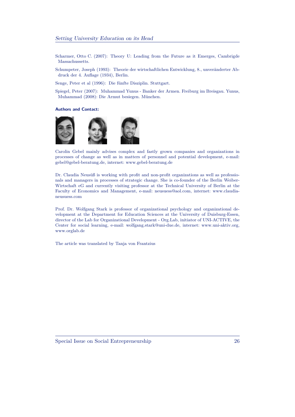- Scharmer, Otto C. (2007): Theory U: Leading from the Future as it Emerges, Cambrigde Massachussetts.
- Schumpeter, Joseph (1993): Theorie der wirtschaftlichen Entwicklung, 8., unveränderter Abdruck der 4. Auflage (1934), Berlin.

Senge, Peter et al (1996): Die fünfte Disziplin. Stuttgart.

Spiegel, Peter (2007): Muhammad Yunus - Banker der Armen. Freiburg im Breisgau. Yunus, Muhammad (2008): Die Armut besiegen. München.

### **Authors and Contact:**



Carolin Gebel mainly advises complex and fastly grown companies and organizations in processes of change as well as in matters of personnel and potential development, e-mail: gebel@gebel-beratung.de, internet: www.gebel-beratung.de

Dr. Claudia Neusüß is working with profit and non-profit organizations as well as professionals and managers in processes of strategic change. She is co-founder of the Berlin Weiber-Wirtschaft eG and currently visiting professor at the Technical University of Berlin at the Faculty of Economics and Management, e-mail: neusuess@aol.com, internet: www.claudianeusuess.com

Prof. Dr. Wolfgang Stark is professor of organizational psychology and organizational development at the Department for Education Sciences at the University of Duisburg-Essen, director of the Lab for Organizational Development - Org.Lab, initiator of UNI-ACTIVE, the Center for social learning, e-mail: wolfgang.stark@uni-due.de, internet: www.uni-aktiv.org, www.orglab.de

The article was translated by Tanja von Frantzius